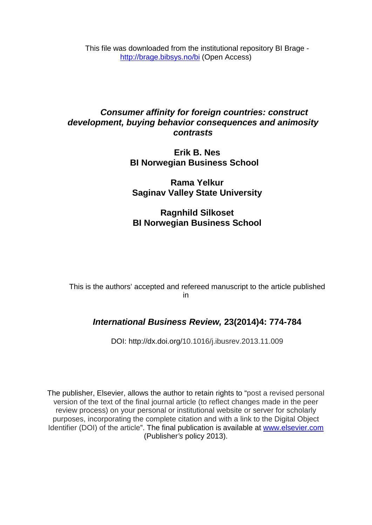This file was downloaded from the institutional repository BI Brage <http://brage.bibsys.no/bi> (Open Access)

# *Consumer affinity for foreign countries: construct development, buying behavior consequences and animosity contrasts*

**Erik B. Nes BI Norwegian Business School** 

**Rama Yelkur Saginav Valley State University**

**Ragnhild Silkoset BI Norwegian Business School** 

This is the authors' accepted and refereed manuscript to the article published in

# *International Business Review,* **23(2014)4: 774-784**

DOI: http://dx.doi.org/10.1016/j.ibusrev.2013.11.009

The publisher, Elsevier, allows the author to retain rights to "post a revised personal version of the text of the final journal article (to reflect changes made in the peer review process) on your personal or institutional website or server for scholarly purposes, incorporating the complete citation and with a link to the Digital Object Identifier (DOI) of the article". The final publication is available at [www.elsevier.com](http://www.elsevier.com/) (Publisher*'s* policy 2013).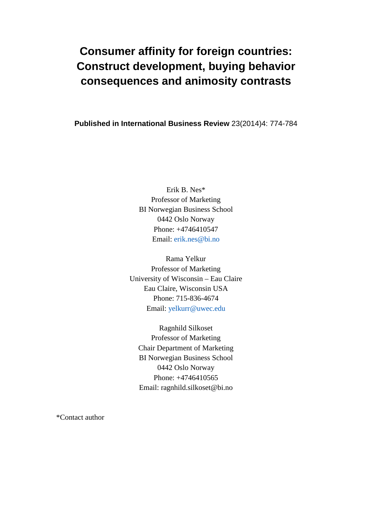# **Consumer affinity for foreign countries: Construct development, buying behavior consequences and animosity contrasts**

**Published in International Business Review** 23(2014)4: 774-784

Erik B. Nes\* Professor of Marketing BI Norwegian Business School 0442 Oslo Norway Phone: +4746410547 Email: [erik.nes@bi.no](mailto:erik.nes@bi.no)

Rama Yelkur Professor of Marketing University of Wisconsin – Eau Claire Eau Claire, Wisconsin USA Phone: 715-836-4674 Email: [yelkurr@uwec.edu](mailto:yelkurr@uwec.edu)

Ragnhild Silkoset Professor of Marketing Chair Department of Marketing BI Norwegian Business School 0442 Oslo Norway Phone: +4746410565 Email: ragnhild.silkoset@bi.no

\*Contact author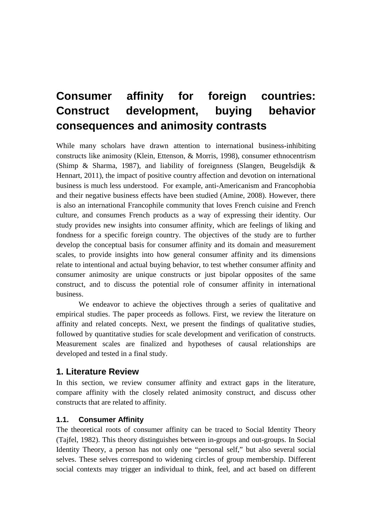# **Consumer affinity for foreign countries: Construct development, buying behavior consequences and animosity contrasts**

While many scholars have drawn attention to international business-inhibiting constructs like animosity (Klein, Ettenson, & Morris, 1998), consumer ethnocentrism (Shimp & Sharma, 1987), and liability of foreignness (Slangen, Beugelsdijk & Hennart, 2011), the impact of positive country affection and devotion on international business is much less understood. For example, anti-Americanism and Francophobia and their negative business effects have been studied (Amine, 2008). However, there is also an international Francophile community that loves French cuisine and French culture, and consumes French products as a way of expressing their identity. Our study provides new insights into consumer affinity, which are feelings of liking and fondness for a specific foreign country. The objectives of the study are to further develop the conceptual basis for consumer affinity and its domain and measurement scales, to provide insights into how general consumer affinity and its dimensions relate to intentional and actual buying behavior, to test whether consumer affinity and consumer animosity are unique constructs or just bipolar opposites of the same construct, and to discuss the potential role of consumer affinity in international business.

We endeavor to achieve the objectives through a series of qualitative and empirical studies. The paper proceeds as follows. First, we review the literature on affinity and related concepts. Next, we present the findings of qualitative studies, followed by quantitative studies for scale development and verification of constructs. Measurement scales are finalized and hypotheses of causal relationships are developed and tested in a final study.

# **1. Literature Review**

In this section, we review consumer affinity and extract gaps in the literature, compare affinity with the closely related animosity construct, and discuss other constructs that are related to affinity.

## **1.1. Consumer Affinity**

The theoretical roots of consumer affinity can be traced to Social Identity Theory (Tajfel, 1982). This theory distinguishes between in-groups and out-groups. In Social Identity Theory, a person has not only one "personal self," but also several social selves. These selves correspond to widening circles of group membership. Different social contexts may trigger an individual to think, feel, and act based on different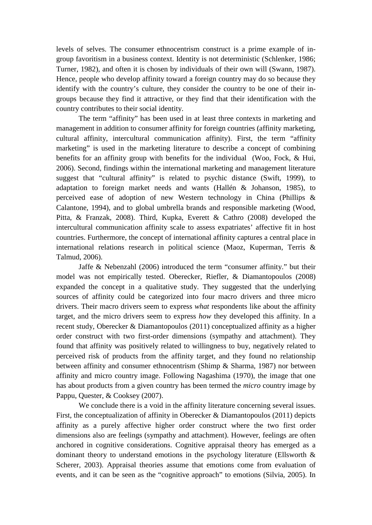levels of selves. The consumer ethnocentrism construct is a prime example of ingroup favoritism in a business context. Identity is not deterministic (Schlenker, 1986; Turner, 1982), and often it is chosen by individuals of their own will (Swann, 1987). Hence, people who develop affinity toward a foreign country may do so because they identify with the country's culture, they consider the country to be one of their ingroups because they find it attractive, or they find that their identification with the country contributes to their social identity.

The term "affinity" has been used in at least three contexts in marketing and management in addition to consumer affinity for foreign countries (affinity marketing, cultural affinity, intercultural communication affinity). First, the term "affinity marketing" is used in the marketing literature to describe a concept of combining benefits for an affinity group with benefits for the individual (Woo, Fock, & Hui, 2006). Second, findings within the international marketing and management literature suggest that "cultural affinity" is related to psychic distance (Swift, 1999), to adaptation to foreign market needs and wants (Hallén & Johanson, 1985), to perceived ease of adoption of new Western technology in China (Phillips & Calantone, 1994), and to global umbrella brands and responsible marketing (Wood, Pitta, & Franzak, 2008). Third, Kupka, Everett & Cathro (2008) developed the intercultural communication affinity scale to assess expatriates' affective fit in host countries. Furthermore, the concept of international affinity captures a central place in international relations research in political science (Maoz, Kuperman, Terris & Talmud, 2006).

Jaffe & Nebenzahl (2006) introduced the term "consumer affinity." but their model was not empirically tested. Oberecker, Riefler, & Diamantopoulos (2008) expanded the concept in a qualitative study. They suggested that the underlying sources of affinity could be categorized into four macro drivers and three micro drivers. Their macro drivers seem to express *what* respondents like about the affinity target, and the micro drivers seem to express *how* they developed this affinity. In a recent study, Oberecker & Diamantopoulos (2011) conceptualized affinity as a higher order construct with two first-order dimensions (sympathy and attachment). They found that affinity was positively related to willingness to buy, negatively related to perceived risk of products from the affinity target, and they found no relationship between affinity and consumer ethnocentrism (Shimp & Sharma, 1987) nor between affinity and micro country image. Following Nagashima (1970), the image that one has about products from a given country has been termed the *micro* country image by Pappu, Quester, & Cooksey (2007).

We conclude there is a void in the affinity literature concerning several issues. First, the conceptualization of affinity in Oberecker & Diamantopoulos (2011) depicts affinity as a purely affective higher order construct where the two first order dimensions also are feelings (sympathy and attachment). However, feelings are often anchored in cognitive considerations. Cognitive appraisal theory has emerged as a dominant theory to understand emotions in the psychology literature (Ellsworth  $\&$ Scherer, 2003). Appraisal theories assume that emotions come from evaluation of events, and it can be seen as the "cognitive approach" to emotions (Silvia, 2005). In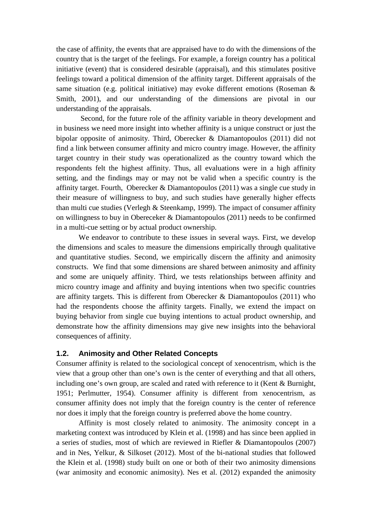the case of affinity, the events that are appraised have to do with the dimensions of the country that is the target of the feelings. For example, a foreign country has a political initiative (event) that is considered desirable (appraisal), and this stimulates positive feelings toward a political dimension of the affinity target. Different appraisals of the same situation (e.g. political initiative) may evoke different emotions (Roseman & Smith, 2001), and our understanding of the dimensions are pivotal in our understanding of the appraisals.

Second, for the future role of the affinity variable in theory development and in business we need more insight into whether affinity is a unique construct or just the bipolar opposite of animosity. Third, Oberecker & Diamantopoulos (2011) did not find a link between consumer affinity and micro country image. However, the affinity target country in their study was operationalized as the country toward which the respondents felt the highest affinity. Thus, all evaluations were in a high affinity setting, and the findings may or may not be valid when a specific country is the affinity target. Fourth, Oberecker & Diamantopoulos (2011) was a single cue study in their measure of willingness to buy, and such studies have generally higher effects than multi cue studies (Verlegh & Steenkamp, 1999). The impact of consumer affinity on willingness to buy in Obereceker & Diamantopoulos (2011) needs to be confirmed in a multi-cue setting or by actual product ownership.

We endeavor to contribute to these issues in several ways. First, we develop the dimensions and scales to measure the dimensions empirically through qualitative and quantitative studies. Second, we empirically discern the affinity and animosity constructs. We find that some dimensions are shared between animosity and affinity and some are uniquely affinity. Third, we tests relationships between affinity and micro country image and affinity and buying intentions when two specific countries are affinity targets. This is different from Oberecker & Diamantopoulos (2011) who had the respondents choose the affinity targets. Finally, we extend the impact on buying behavior from single cue buying intentions to actual product ownership, and demonstrate how the affinity dimensions may give new insights into the behavioral consequences of affinity.

#### **1.2. Animosity and Other Related Concepts**

Consumer affinity is related to the sociological concept of xenocentrism, which is the view that a group other than one's own is the center of everything and that all others, including one's own group, are scaled and rated with reference to it (Kent & Burnight, 1951; Perlmutter, 1954). Consumer affinity is different from xenocentrism, as consumer affinity does not imply that the foreign country is the center of reference nor does it imply that the foreign country is preferred above the home country.

Affinity is most closely related to animosity. The animosity concept in a marketing context was introduced by Klein et al. (1998) and has since been applied in a series of studies, most of which are reviewed in Riefler & Diamantopoulos (2007) and in Nes, Yelkur, & Silkoset (2012). Most of the bi-national studies that followed the Klein et al. (1998) study built on one or both of their two animosity dimensions (war animosity and economic animosity). Nes et al. (2012) expanded the animosity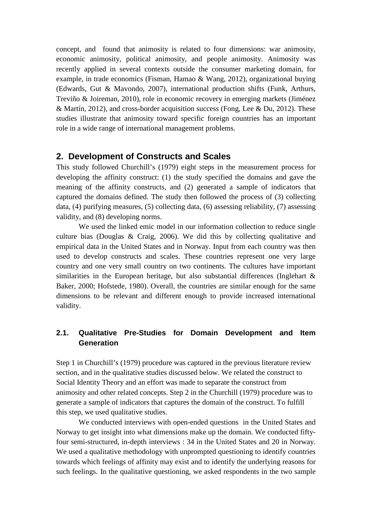concept, and found that animosity is related to four dimensions: war animosity, economic animosity, political animosity, and people animosity. Animosity was recently applied in several contexts outside the consumer marketing domain, for example, in trade economics (Fisman, Hamao & Wang, 2012), organizational buying (Edwards, Gut & Mavondo, 2007), international production shifts (Funk, Arthurs, Treviño & Joireman, 2010), role in economic recovery in emerging markets (Jiménez & Martín, 2012), and cross-border acquisition success (Fong, Lee & Du, 2012). These studies illustrate that animosity toward specific foreign countries has an important role in a wide range of international management problems.

### **2. Development of Constructs and Scales**

This study followed Churchill's (1979) eight steps in the measurement process for developing the affinity construct: (1) the study specified the domains and gave the meaning of the affinity constructs, and (2) generated a sample of indicators that captured the domains defined. The study then followed the process of (3) collecting data, (4) purifying measures, (5) collecting data, (6) assessing reliability, (7) assessing validity, and (8) developing norms.

We used the linked emic model in our information collection to reduce single culture bias (Douglas & Craig, 2006). We did this by collecting qualitative and empirical data in the United States and in Norway. Input from each country was then used to develop constructs and scales. These countries represent one very large country and one very small country on two continents. The cultures have important similarities in the European heritage, but also substantial differences (Inglehart  $\&$ Baker, 2000; Hofstede, 1980). Overall, the countries are similar enough for the same dimensions to be relevant and different enough to provide increased international validity.

## **2.1. Qualitative Pre-Studies for Domain Development and Item Generation**

Step 1 in Churchill's (1979) procedure was captured in the previous literature review section, and in the qualitative studies discussed below. We related the construct to Social Identity Theory and an effort was made to separate the construct from animosity and other related concepts. Step 2 in the Churchill (1979) procedure was to generate a sample of indicators that captures the domain of the construct. To fulfill this step, we used qualitative studies.

We conducted interviews with open-ended questions in the United States and Norway to get insight into what dimensions make up the domain. We conducted fiftyfour semi-structured, in-depth interviews : 34 in the United States and 20 in Norway. We used a qualitative methodology with unprompted questioning to identify countries towards which feelings of affinity may exist and to identify the underlying reasons for such feelings. In the qualitative questioning, we asked respondents in the two sample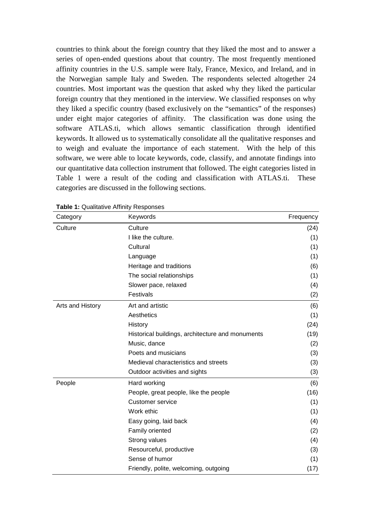countries to think about the foreign country that they liked the most and to answer a series of open-ended questions about that country. The most frequently mentioned affinity countries in the U.S. sample were Italy, France, Mexico, and Ireland, and in the Norwegian sample Italy and Sweden. The respondents selected altogether 24 countries. Most important was the question that asked why they liked the particular foreign country that they mentioned in the interview. We classified responses on why they liked a specific country (based exclusively on the "semantics" of the responses) under eight major categories of affinity. The classification was done using the software ATLAS.ti, which allows semantic classification through identified keywords. It allowed us to systematically consolidate all the qualitative responses and to weigh and evaluate the importance of each statement. With the help of this software, we were able to locate keywords, code, classify, and annotate findings into our quantitative data collection instrument that followed. The eight categories listed in Table 1 were a result of the coding and classification with ATLAS.ti. These categories are discussed in the following sections.

| Category         | Keywords                                         | Frequency |
|------------------|--------------------------------------------------|-----------|
| Culture          | Culture                                          | (24)      |
|                  | I like the culture.                              | (1)       |
|                  | Cultural                                         | (1)       |
|                  | Language                                         | (1)       |
|                  | Heritage and traditions                          | (6)       |
|                  | The social relationships                         | (1)       |
|                  | Slower pace, relaxed                             | (4)       |
|                  | Festivals                                        | (2)       |
| Arts and History | Art and artistic                                 | (6)       |
|                  | Aesthetics                                       | (1)       |
|                  | History                                          | (24)      |
|                  | Historical buildings, architecture and monuments | (19)      |
|                  | Music, dance                                     | (2)       |
|                  | Poets and musicians                              | (3)       |
|                  | Medieval characteristics and streets             | (3)       |
|                  | Outdoor activities and sights                    | (3)       |
| People           | Hard working                                     | (6)       |
|                  | People, great people, like the people            | (16)      |
|                  | <b>Customer service</b>                          | (1)       |
|                  | Work ethic                                       | (1)       |
|                  | Easy going, laid back                            | (4)       |
|                  | Family oriented                                  | (2)       |
|                  | Strong values                                    | (4)       |
|                  | Resourceful, productive                          | (3)       |
|                  | Sense of humor                                   | (1)       |
|                  | Friendly, polite, welcoming, outgoing            | (17)      |

**Table 1:** Qualitative Affinity Responses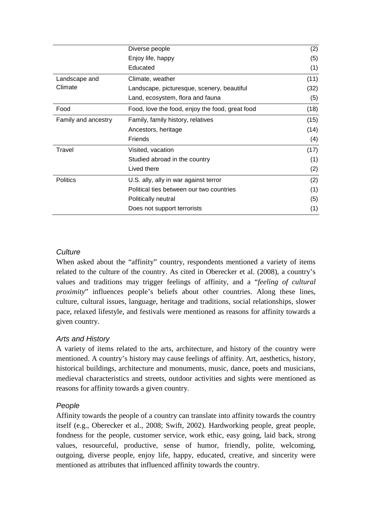|                     | Diverse people                                  | (2)  |
|---------------------|-------------------------------------------------|------|
|                     | Enjoy life, happy                               | (5)  |
|                     | Educated                                        | (1)  |
| Landscape and       | Climate, weather                                | (11) |
| Climate             | Landscape, picturesque, scenery, beautiful      | (32) |
|                     | Land, ecosystem, flora and fauna                | (5)  |
| Food                | Food, love the food, enjoy the food, great food | (18) |
| Family and ancestry | Family, family history, relatives               | (15) |
|                     | Ancestors, heritage                             | (14) |
|                     | <b>Friends</b>                                  | (4)  |
| Travel              | Visited, vacation                               | (17) |
|                     | Studied abroad in the country                   | (1)  |
|                     | Lived there                                     | (2)  |
| <b>Politics</b>     | U.S. ally, ally in war against terror           | (2)  |
|                     | Political ties between our two countries        | (1)  |
|                     | Politically neutral                             | (5)  |
|                     | Does not support terrorists                     | (1)  |

# *Culture*

When asked about the "affinity" country, respondents mentioned a variety of items related to the culture of the country. As cited in Oberecker et al. (2008), a country's values and traditions may trigger feelings of affinity, and a "*feeling of cultural proximity*" influences people's beliefs about other countries. Along these lines, culture, cultural issues, language, heritage and traditions, social relationships, slower pace, relaxed lifestyle, and festivals were mentioned as reasons for affinity towards a given country.

## *Arts and History*

A variety of items related to the arts, architecture, and history of the country were mentioned. A country's history may cause feelings of affinity. Art, aesthetics, history, historical buildings, architecture and monuments, music, dance, poets and musicians, medieval characteristics and streets, outdoor activities and sights were mentioned as reasons for affinity towards a given country.

## *People*

Affinity towards the people of a country can translate into affinity towards the country itself (e.g., Oberecker et al., 2008; Swift, 2002). Hardworking people, great people, fondness for the people, customer service, work ethic, easy going, laid back, strong values, resourceful, productive, sense of humor, friendly, polite, welcoming, outgoing, diverse people, enjoy life, happy, educated, creative, and sincerity were mentioned as attributes that influenced affinity towards the country.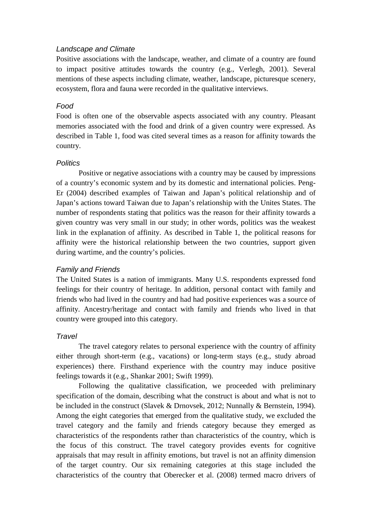#### *Landscape and Climate*

Positive associations with the landscape, weather, and climate of a country are found to impact positive attitudes towards the country (e.g., Verlegh, 2001). Several mentions of these aspects including climate, weather, landscape, picturesque scenery, ecosystem, flora and fauna were recorded in the qualitative interviews.

#### *Food*

Food is often one of the observable aspects associated with any country. Pleasant memories associated with the food and drink of a given country were expressed. As described in Table 1, food was cited several times as a reason for affinity towards the country.

#### *Politics*

Positive or negative associations with a country may be caused by impressions of a country's economic system and by its domestic and international policies. Peng-Er (2004) described examples of Taiwan and Japan's political relationship and of Japan's actions toward Taiwan due to Japan's relationship with the Unites States. The number of respondents stating that politics was the reason for their affinity towards a given country was very small in our study; in other words, politics was the weakest link in the explanation of affinity. As described in Table 1, the political reasons for affinity were the historical relationship between the two countries, support given during wartime, and the country's policies.

#### *Family and Friends*

The United States is a nation of immigrants. Many U.S. respondents expressed fond feelings for their country of heritage. In addition, personal contact with family and friends who had lived in the country and had had positive experiences was a source of affinity. Ancestry/heritage and contact with family and friends who lived in that country were grouped into this category.

#### *Travel*

The travel category relates to personal experience with the country of affinity either through short-term (e.g., vacations) or long-term stays (e.g., study abroad experiences) there. Firsthand experience with the country may induce positive feelings towards it (e.g., Shankar 2001; Swift 1999).

Following the qualitative classification, we proceeded with preliminary specification of the domain, describing what the construct is about and what is not to be included in the construct (Slavek & Drnovsek, 2012; Nunnally & Bernstein, 1994). Among the eight categories that emerged from the qualitative study, we excluded the travel category and the family and friends category because they emerged as characteristics of the respondents rather than characteristics of the country, which is the focus of this construct. The travel category provides events for cognitive appraisals that may result in affinity emotions, but travel is not an affinity dimension of the target country. Our six remaining categories at this stage included the characteristics of the country that Oberecker et al. (2008) termed macro drivers of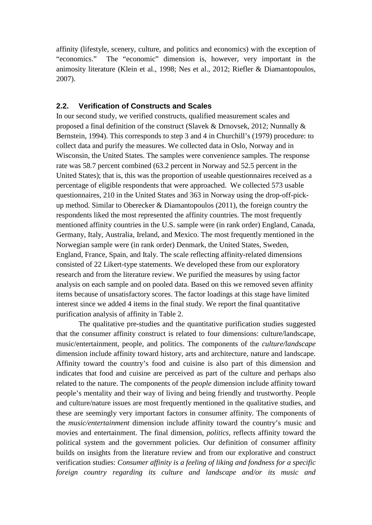affinity (lifestyle, scenery, culture, and politics and economics) with the exception of "economics." The "economic" dimension is, however, very important in the animosity literature (Klein et al., 1998; Nes et al., 2012; Riefler & Diamantopoulos, 2007).

#### **2.2. Verification of Constructs and Scales**

In our second study, we verified constructs, qualified measurement scales and proposed a final definition of the construct (Slavek & Drnovsek, 2012; Nunnally & Bernstein, 1994). This corresponds to step 3 and 4 in Churchill's (1979) procedure: to collect data and purify the measures. We collected data in Oslo, Norway and in Wisconsin, the United States. The samples were convenience samples. The response rate was 58.7 percent combined (63.2 percent in Norway and 52.5 percent in the United States); that is, this was the proportion of useable questionnaires received as a percentage of eligible respondents that were approached. We collected 573 usable questionnaires, 210 in the United States and 363 in Norway using the drop-off-pickup method. Similar to Oberecker & Diamantopoulos (2011), the foreign country the respondents liked the most represented the affinity countries. The most frequently mentioned affinity countries in the U.S. sample were (in rank order) England, Canada, Germany, Italy, Australia, Ireland, and Mexico. The most frequently mentioned in the Norwegian sample were (in rank order) Denmark, the United States, Sweden, England, France, Spain, and Italy. The scale reflecting affinity-related dimensions consisted of 22 Likert-type statements. We developed these from our exploratory research and from the literature review. We purified the measures by using factor analysis on each sample and on pooled data. Based on this we removed seven affinity items because of unsatisfactory scores. The factor loadings at this stage have limited interest since we added 4 items in the final study. We report the final quantitative purification analysis of affinity in Table 2.

The qualitative pre-studies and the quantitative purification studies suggested that the consumer affinity construct is related to four dimensions: culture/landscape, music/entertainment, people, and politics. The components of the *culture/landscape* dimension include affinity toward history, arts and architecture, nature and landscape. Affinity toward the country's food and cuisine is also part of this dimension and indicates that food and cuisine are perceived as part of the culture and perhaps also related to the nature. The components of the *people* dimension include affinity toward people's mentality and their way of living and being friendly and trustworthy. People and culture/nature issues are most frequently mentioned in the qualitative studies, and these are seemingly very important factors in consumer affinity. The components of the *music/entertainment* dimension include affinity toward the country's music and movies and entertainment. The final dimension, *politics,* reflects affinity toward the political system and the government policies. Our definition of consumer affinity builds on insights from the literature review and from our explorative and construct verification studies: *Consumer affinity is a feeling of liking and fondness for a specific foreign country regarding its culture and landscape and/or its music and*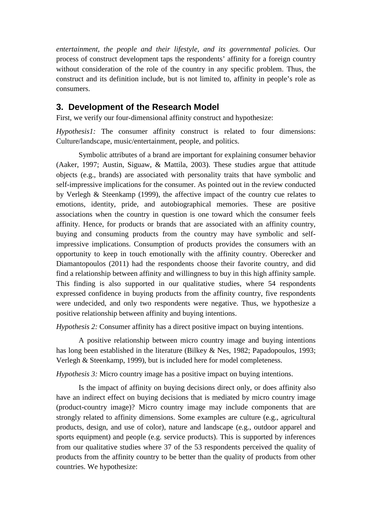*entertainment, the people and their lifestyle, and its governmental policies.* Our process of construct development taps the respondents' affinity for a foreign country without consideration of the role of the country in any specific problem. Thus, the construct and its definition include, but is not limited to, affinity in people's role as consumers.

# **3. Development of the Research Model**

First, we verify our four-dimensional affinity construct and hypothesize:

*Hypothesis1:* The consumer affinity construct is related to four dimensions: Culture/landscape, music/entertainment, people, and politics.

Symbolic attributes of a brand are important for explaining consumer behavior (Aaker, 1997; Austin, Siguaw, & Mattila, 2003). These studies argue that attitude objects (e.g., brands) are associated with personality traits that have symbolic and self-impressive implications for the consumer. As pointed out in the review conducted by Verlegh & Steenkamp (1999), the affective impact of the country cue relates to emotions, identity, pride, and autobiographical memories. These are positive associations when the country in question is one toward which the consumer feels affinity. Hence, for products or brands that are associated with an affinity country, buying and consuming products from the country may have symbolic and selfimpressive implications. Consumption of products provides the consumers with an opportunity to keep in touch emotionally with the affinity country. Oberecker and Diamantopoulos (2011) had the respondents choose their favorite country, and did find a relationship between affinity and willingness to buy in this high affinity sample. This finding is also supported in our qualitative studies, where 54 respondents expressed confidence in buying products from the affinity country, five respondents were undecided, and only two respondents were negative. Thus, we hypothesize a positive relationship between affinity and buying intentions.

*Hypothesis 2:* Consumer affinity has a direct positive impact on buying intentions.

A positive relationship between micro country image and buying intentions has long been established in the literature (Bilkey & Nes, 1982; Papadopoulos, 1993; Verlegh & Steenkamp, 1999), but is included here for model completeness.

*Hypothesis 3:* Micro country image has a positive impact on buying intentions.

Is the impact of affinity on buying decisions direct only, or does affinity also have an indirect effect on buying decisions that is mediated by micro country image (product-country image)? Micro country image may include components that are strongly related to affinity dimensions. Some examples are culture (e.g., agricultural products, design, and use of color), nature and landscape (e.g., outdoor apparel and sports equipment) and people (e.g. service products). This is supported by inferences from our qualitative studies where 37 of the 53 respondents perceived the quality of products from the affinity country to be better than the quality of products from other countries. We hypothesize: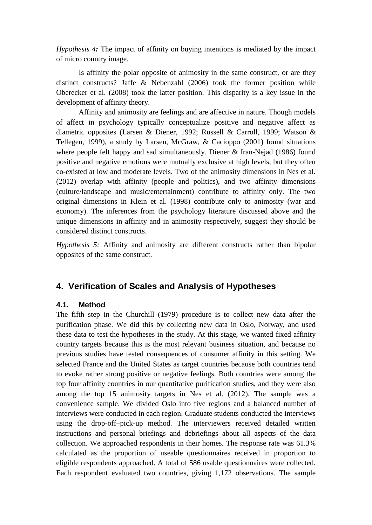*Hypothesis 4:* The impact of affinity on buying intentions is mediated by the impact of micro country image.

Is affinity the polar opposite of animosity in the same construct, or are they distinct constructs? Jaffe & Nebenzahl (2006) took the former position while Oberecker et al. (2008) took the latter position. This disparity is a key issue in the development of affinity theory.

Affinity and animosity are feelings and are affective in nature. Though models of affect in psychology typically conceptualize positive and negative affect as diametric opposites (Larsen & Diener, 1992; Russell & Carroll, 1999; Watson & Tellegen, 1999), a study by Larsen, McGraw, & Cacioppo (2001) found situations where people felt happy and sad simultaneously. Diener & Iran-Nejad (1986) found positive and negative emotions were mutually exclusive at high levels, but they often co-existed at low and moderate levels. Two of the animosity dimensions in Nes et al. (2012) overlap with affinity (people and politics), and two affinity dimensions (culture/landscape and music/entertainment) contribute to affinity only. The two original dimensions in Klein et al. (1998) contribute only to animosity (war and economy). The inferences from the psychology literature discussed above and the unique dimensions in affinity and in animosity respectively, suggest they should be considered distinct constructs.

*Hypothesis 5:* Affinity and animosity are different constructs rather than bipolar opposites of the same construct.

# **4. Verification of Scales and Analysis of Hypotheses**

#### **4.1. Method**

The fifth step in the Churchill (1979) procedure is to collect new data after the purification phase. We did this by collecting new data in Oslo, Norway, and used these data to test the hypotheses in the study. At this stage, we wanted fixed affinity country targets because this is the most relevant business situation, and because no previous studies have tested consequences of consumer affinity in this setting. We selected France and the United States as target countries because both countries tend to evoke rather strong positive or negative feelings. Both countries were among the top four affinity countries in our quantitative purification studies, and they were also among the top 15 animosity targets in Nes et al. (2012). The sample was a convenience sample. We divided Oslo into five regions and a balanced number of interviews were conducted in each region. Graduate students conducted the interviews using the drop-off–pick-up method. The interviewers received detailed written instructions and personal briefings and debriefings about all aspects of the data collection. We approached respondents in their homes. The response rate was 61.3% calculated as the proportion of useable questionnaires received in proportion to eligible respondents approached. A total of 586 usable questionnaires were collected. Each respondent evaluated two countries, giving 1,172 observations. The sample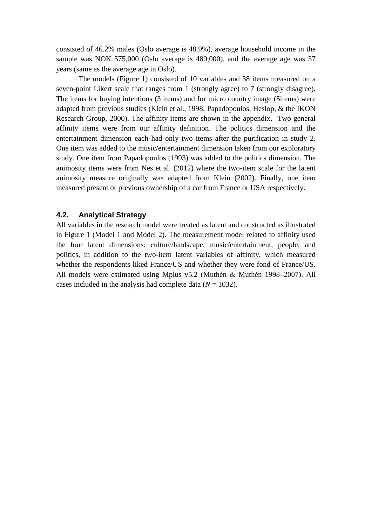consisted of 46.2% males (Oslo average is 48.9%), average household income in the sample was NOK 575,000 (Oslo average is 480,000), and the average age was 37 years (same as the average age in Oslo).

The models (Figure 1) consisted of 10 variables and 38 items measured on a seven-point Likert scale that ranges from 1 (strongly agree) to 7 (strongly disagree). The items for buying intentions (3 items) and for micro country image (5items) were adapted from previous studies (Klein et al., 1998; Papadopoulos, Heslop, & the IKON Research Group, 2000). The affinity items are shown in the appendix. Two general affinity items were from our affinity definition. The politics dimension and the entertainment dimension each had only two items after the purification in study 2. One item was added to the music/entertainment dimension taken from our exploratory study. One item from Papadopoulos (1993) was added to the politics dimension. The animosity items were from Nes et al. (2012) where the two-item scale for the latent animosity measure originally was adapted from Klein (2002). Finally, one item measured present or previous ownership of a car from France or USA respectively.

#### **4.2. Analytical Strategy**

All variables in the research model were treated as latent and constructed as illustrated in Figure 1 (Model 1 and Model 2). The measurement model related to affinity used the four latent dimensions: culture/landscape, music/entertainment, people, and politics, in addition to the two-item latent variables of affinity, which measured whether the respondents liked France/US and whether they were fond of France/US. All models were estimated using Mplus v5.2 (Muthén & Muthén 1998–2007). All cases included in the analysis had complete data  $(N = 1032)$ .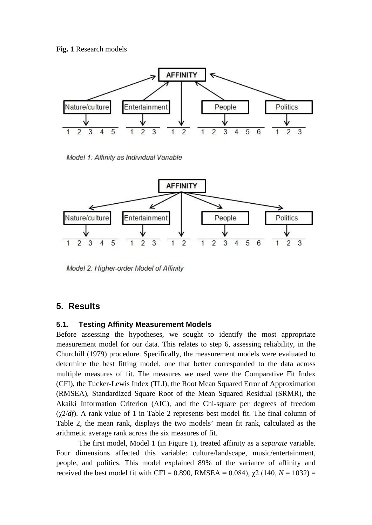



Model 1: Affinity as Individual Variable



Model 2: Higher-order Model of Affinity

# **5. Results**

#### **5.1. Testing Affinity Measurement Models**

Before assessing the hypotheses, we sought to identify the most appropriate measurement model for our data. This relates to step 6, assessing reliability, in the Churchill (1979) procedure. Specifically, the measurement models were evaluated to determine the best fitting model, one that better corresponded to the data across multiple measures of fit. The measures we used were the Comparative Fit Index (CFI), the Tucker-Lewis Index (TLI), the Root Mean Squared Error of Approximation (RMSEA), Standardized Square Root of the Mean Squared Residual (SRMR), the Akaiki Information Criterion (AIC), and the Chi-square per degrees of freedom (χ2/*df*). A rank value of 1 in Table 2 represents best model fit. The final column of Table 2, the mean rank, displays the two models' mean fit rank, calculated as the arithmetic average rank across the six measures of fit.

The first model, Model 1 (in Figure 1), treated affinity as a *separate* variable. Four dimensions affected this variable: culture/landscape, music/entertainment, people, and politics. This model explained 89% of the variance of affinity and received the best model fit with CFI = 0.890, RMSEA = 0.084),  $\chi$ 2 (140, *N* = 1032) =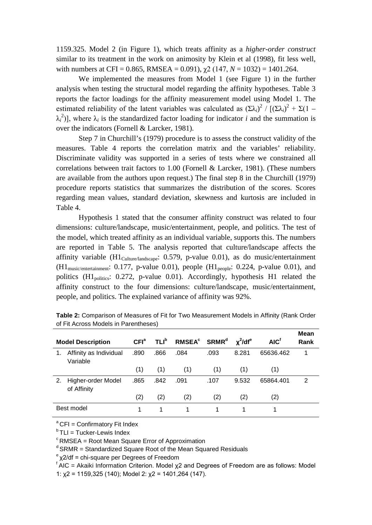1159.325. Model 2 (in Figure 1), which treats affinity as a *higher-order construct* similar to its treatment in the work on animosity by Klein et al (1998), fit less well, with numbers at CFI = 0.865, RMSEA = 0.091),  $\chi$ 2 (147,  $N = 1032$ ) = 1401.264.

We implemented the measures from Model 1 (see Figure 1) in the further analysis when testing the structural model regarding the affinity hypotheses. Table 3 reports the factor loadings for the affinity measurement model using Model 1. The estimated reliability of the latent variables was calculated as  $(\Sigma \lambda_i)^2 / [(\Sigma \lambda_i)^2 + \Sigma (1 \lambda_i^2$ )], where  $\lambda_i$  is the standardized factor loading for indicator *i* and the summation is over the indicators (Fornell & Larcker, 1981).

Step 7 in Churchill's (1979) procedure is to assess the construct validity of the measures. Table 4 reports the correlation matrix and the variables' reliability. Discriminate validity was supported in a series of tests where we constrained all correlations between trait factors to 1.00 (Fornell & Larcker, 1981). (These numbers are available from the authors upon request.) The final step 8 in the Churchill (1979) procedure reports statistics that summarizes the distribution of the scores. Scores regarding mean values, standard deviation, skewness and kurtosis are included in Table 4.

Hypothesis 1 stated that the consumer affinity construct was related to four dimensions: culture/landscape, music/entertainment, people, and politics. The test of the model, which treated affinity as an individual variable, supports this. The numbers are reported in Table 5. The analysis reported that culture/landscape affects the affinity variable  $(H1_{\text{Culture/landscale}}: 0.579, p-value 0.01)$ , as do music/entertainment  $(H1_{\text{music/entertainment}}: 0.177, p-value 0.01)$ , people  $(H1_{\text{people}}: 0.224, p-value 0.01)$ , and politics (H1politics: 0.272, p-value 0.01). Accordingly, hypothesis H1 related the affinity construct to the four dimensions: culture/landscape, music/entertainment, people, and politics. The explained variance of affinity was 92%.

|    | <b>Model Description</b>           | CFI <sup>a</sup> | <b>TLI</b> <sup>b</sup> | RMSEA <sup>c</sup> SRMR <sup>d</sup> |      | $\chi^2$ /df <sup>e</sup> | AIC <sup>†</sup> | Mean<br>Rank |
|----|------------------------------------|------------------|-------------------------|--------------------------------------|------|---------------------------|------------------|--------------|
|    | Affinity as Individual<br>Variable | .890             | .866                    | .084                                 | .093 | 8.281                     | 65636.462        | 1            |
|    |                                    | (1)              | (1)                     | (1)                                  | (1)  | (1)                       | (1)              |              |
| 2. | Higher-order Model<br>of Affinity  | .865             | .842                    | .091                                 | .107 | 9.532                     | 65864.401        | 2            |
|    |                                    | (2)              | (2)                     | (2)                                  | (2)  | (2)                       | (2)              |              |
|    | Best model                         |                  |                         |                                      |      | 1                         | 1                |              |

**Table 2:** Comparison of Measures of Fit for Two Measurement Models in Affinity (Rank Order of Fit Across Models in Parentheses)

 $a$  CFI = Confirmatory Fit Index

 $b$  TLI = Tucker-Lewis Index

 $c<sup>c</sup>$  RMSEA = Root Mean Square Error of Approximation

 $d$  SRMR = Standardized Square Root of the Mean Squared Residuals

 $e^{i}$  x2/df = chi-square per Degrees of Freedom

 $f$  AIC = Akaiki Information Criterion. Model  $x^2$  and Degrees of Freedom are as follows: Model 1:  $x2 = 1159,325$  (140); Model 2:  $x2 = 1401,264$  (147).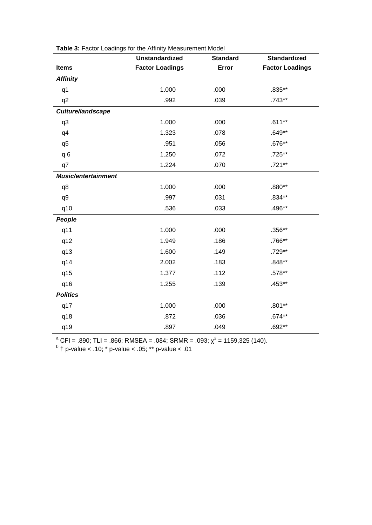|                            | <b>Unstandardized</b>  | <b>Standard</b> | <b>Standardized</b>    |  |
|----------------------------|------------------------|-----------------|------------------------|--|
| <b>Items</b>               | <b>Factor Loadings</b> | Error           | <b>Factor Loadings</b> |  |
| <b>Affinity</b>            |                        |                 |                        |  |
| q1                         | 1.000                  | .000            | $.835***$              |  |
| q <sub>2</sub>             | .992                   | .039            | $.743**$               |  |
| Culture/landscape          |                        |                 |                        |  |
| q3                         | 1.000                  | .000            | $.611**$               |  |
| q4                         | 1.323                  | .078            | $.649**$               |  |
| q <sub>5</sub>             | .951                   | .056            | .676**                 |  |
| q6                         | 1.250                  | .072            | .725**                 |  |
| q7                         | 1.224                  | .070            | $.721**$               |  |
| <b>Music/entertainment</b> |                        |                 |                        |  |
| q8                         | 1.000                  | .000            | $.880**$               |  |
| q9                         | .997                   | .031            | .834**                 |  |
| q10                        | .536                   | .033            | .496**                 |  |
| People                     |                        |                 |                        |  |
| q11                        | 1.000                  | .000            | .356**                 |  |
| q12                        | 1.949                  | .186            | .766**                 |  |
| q13                        | 1.600                  | .149            | .729**                 |  |
| q14                        | 2.002                  | .183            | $.848**$               |  |
| q15                        | 1.377                  | .112            | .578**                 |  |
| q16                        | 1.255                  | .139            | .453**                 |  |
| <b>Politics</b>            |                        |                 |                        |  |
| q17                        | 1.000                  | .000            | $.801**$               |  |
| q18                        | .872                   | .036            | $.674**$               |  |
| q19                        | .897                   | .049            | .692**                 |  |

| Table 3: Factor Loadings for the Affinity Measurement Model |  |
|-------------------------------------------------------------|--|
|-------------------------------------------------------------|--|

<sup>a</sup> CFI = .890; TLI = .866; RMSEA = .084; SRMR = .093;  $\chi^2$  = 1159,325 (140).

 $^{\rm b}$  † p-value < .10; \* p-value < .05; \*\* p-value < .01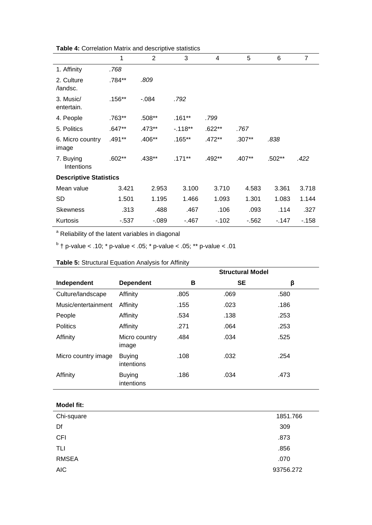|                               | 1        | $\overline{2}$ | 3         | 4        | 5        | 6        | $\overline{7}$ |
|-------------------------------|----------|----------------|-----------|----------|----------|----------|----------------|
| 1. Affinity                   | .768     |                |           |          |          |          |                |
| 2. Culture<br>/landsc.        | .784**   | .809           |           |          |          |          |                |
| 3. Music/<br>entertain.       | $.156**$ | $-0.084$       | .792      |          |          |          |                |
| 4. People                     | .763**   | $.508**$       | $.161**$  | .799     |          |          |                |
| 5. Politics                   | $.647**$ | $.473**$       | $-118**$  | $.622**$ | .767     |          |                |
| 6. Micro country<br>image     | .491**   | $.406**$       | $.165**$  | .472**   | $.307**$ | .838     |                |
| 7. Buying<br>Intentions       | $.602**$ | .438**         | $.171***$ | .492**   | $.407**$ | $.502**$ | .422           |
| <b>Descriptive Statistics</b> |          |                |           |          |          |          |                |
| Mean value                    | 3.421    | 2.953          | 3.100     | 3.710    | 4.583    | 3.361    | 3.718          |
| <b>SD</b>                     | 1.501    | 1.195          | 1.466     | 1.093    | 1.301    | 1.083    | 1.144          |
| <b>Skewness</b>               | .313     | .488           | .467      | .106     | .093     | .114     | .327           |
| Kurtosis                      | $-537$   | $-0.089$       | $-467$    | $-102$   | -.562    | $-147$   | $-158$         |

**Table 4:** Correlation Matrix and descriptive statistics

<sup>a</sup> Reliability of the latent variables in diagonal

 $b$  † p-value < .10; \* p-value < .05; \* p-value < .05; \*\* p-value < .01

|                     |                             |      | <b>Structural Model</b> |      |
|---------------------|-----------------------------|------|-------------------------|------|
| Independent         | <b>Dependent</b>            | в    | <b>SE</b>               | β    |
| Culture/landscape   | Affinity                    | .805 | .069                    | .580 |
| Music/entertainment | Affinity                    | .155 | .023                    | .186 |
| People              | Affinity                    | .534 | .138                    | .253 |
| <b>Politics</b>     | Affinity                    | .271 | .064                    | .253 |
| Affinity            | Micro country<br>image      | .484 | .034                    | .525 |
| Micro country image | <b>Buying</b><br>intentions | .108 | .032                    | .254 |
| Affinity            | <b>Buying</b><br>intentions | .186 | .034                    | .473 |

#### **Table 5:** Structural Equation Analysis for Affinity

#### **Model fit:**

| Chi-square   | 1851.766  |
|--------------|-----------|
| Df           | 309       |
| <b>CFI</b>   | .873      |
| TLI          | .856      |
| <b>RMSEA</b> | .070      |
| <b>AIC</b>   | 93756.272 |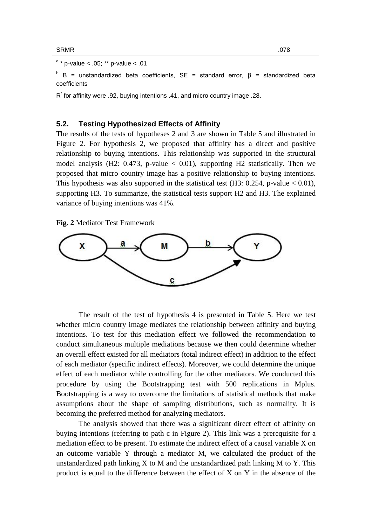$a * p-value < .05$ ; \*\* p-value < .01

 $<sup>b</sup>$  B = unstandardized beta coefficients, SE = standard error, β = standardized beta</sup> coefficients

R<sup>r</sup> for affinity were .92, buying intentions .41, and micro country image .28.

#### **5.2. Testing Hypothesized Effects of Affinity**

The results of the tests of hypotheses 2 and 3 are shown in Table 5 and illustrated in Figure 2. For hypothesis 2, we proposed that affinity has a direct and positive relationship to buying intentions. This relationship was supported in the structural model analysis (H2: 0.473, p-value  $< 0.01$ ), supporting H2 statistically. Then we proposed that micro country image has a positive relationship to buying intentions. This hypothesis was also supported in the statistical test  $(H3: 0.254, p-value < 0.01)$ , supporting H3. To summarize, the statistical tests support H2 and H3. The explained variance of buying intentions was 41%.

**Fig. 2** Mediator Test Framework



The result of the test of hypothesis 4 is presented in Table 5. Here we test whether micro country image mediates the relationship between affinity and buying intentions. To test for this mediation effect we followed the recommendation to conduct simultaneous multiple mediations because we then could determine whether an overall effect existed for all mediators (total indirect effect) in addition to the effect of each mediator (specific indirect effects). Moreover, we could determine the unique effect of each mediator while controlling for the other mediators. We conducted this procedure by using the Bootstrapping test with 500 replications in Mplus. Bootstrapping is a way to overcome the limitations of statistical methods that make assumptions about the shape of sampling distributions, such as normality. It is becoming the preferred method for analyzing mediators.

The analysis showed that there was a significant direct effect of affinity on buying intentions (referring to path c in Figure 2). This link was a prerequisite for a mediation effect to be present. To estimate the indirect effect of a causal variable X on an outcome variable Y through a mediator M, we calculated the product of the unstandardized path linking X to M and the unstandardized path linking M to Y. This product is equal to the difference between the effect of X on Y in the absence of the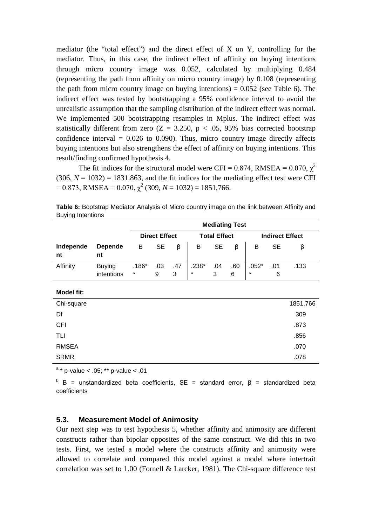mediator (the "total effect") and the direct effect of  $X$  on  $Y$ , controlling for the mediator. Thus, in this case, the indirect effect of affinity on buying intentions through micro country image was 0.052, calculated by multiplying 0.484 (representing the path from affinity on micro country image) by 0.108 (representing the path from micro country image on buying intentions)  $= 0.052$  (see Table 6). The indirect effect was tested by bootstrapping a 95% confidence interval to avoid the unrealistic assumption that the sampling distribution of the indirect effect was normal. We implemented 500 bootstrapping resamples in Mplus. The indirect effect was statistically different from zero  $(Z = 3.250, p < .05, 95\%$  bias corrected bootstrap confidence interval  $= 0.026$  to 0.090). Thus, micro country image directly affects buying intentions but also strengthens the effect of affinity on buying intentions. This result/finding confirmed hypothesis 4.

The fit indices for the structural model were CFI = 0.874, RMSEA = 0.070,  $\chi^2$  $(306, N = 1032) = 1831.863$ , and the fit indices for the mediating effect test were CFI  $= 0.873$ , RMSEA  $= 0.070$ ,  $\gamma^2$  (309, *N*  $= 1032$ )  $= 1851,766$ .

|                   |                             | <b>Mediating Test</b> |                      |          |                     |           |          |                        |           |          |
|-------------------|-----------------------------|-----------------------|----------------------|----------|---------------------|-----------|----------|------------------------|-----------|----------|
|                   |                             |                       | <b>Direct Effect</b> |          | <b>Total Effect</b> |           |          | <b>Indirect Effect</b> |           |          |
| Independe<br>nt   | <b>Depende</b><br>nt        | B                     | <b>SE</b>            | β        | B                   | <b>SE</b> | β        | B                      | <b>SE</b> | β        |
| Affinity          | <b>Buying</b><br>intentions | $.186*$<br>*          | .03<br>9             | .47<br>3 | $.238*$<br>$\star$  | .04<br>3  | .60<br>6 | $.052*$<br>$\star$     | .01<br>6  | .133     |
| <b>Model fit:</b> |                             |                       |                      |          |                     |           |          |                        |           |          |
| Chi-square        |                             |                       |                      |          |                     |           |          |                        |           | 1851.766 |
| Df                |                             |                       |                      |          |                     |           |          |                        |           | 309      |
| <b>CFI</b>        |                             |                       |                      |          |                     |           |          |                        |           | .873     |
| TLI               |                             |                       |                      |          |                     |           |          |                        |           | .856     |
| <b>RMSEA</b>      |                             |                       |                      |          |                     |           |          |                        |           | .070     |
| <b>SRMR</b>       |                             |                       |                      |          |                     |           |          |                        |           | .078     |

| Table 6: Bootstrap Mediator Analysis of Micro country image on the link between Affinity and |  |  |  |  |  |
|----------------------------------------------------------------------------------------------|--|--|--|--|--|
| <b>Buying Intentions</b>                                                                     |  |  |  |  |  |

 $a * p-value < .05$ ; \*\* p-value < .01

 $<sup>b</sup>$  B = unstandardized beta coefficients, SE = standard error, β = standardized beta</sup> coefficients

#### **5.3. Measurement Model of Animosity**

Our next step was to test hypothesis 5, whether affinity and animosity are different constructs rather than bipolar opposites of the same construct. We did this in two tests. First, we tested a model where the constructs affinity and animosity were allowed to correlate and compared this model against a model where intertrait correlation was set to 1.00 (Fornell & Larcker, 1981). The Chi-square difference test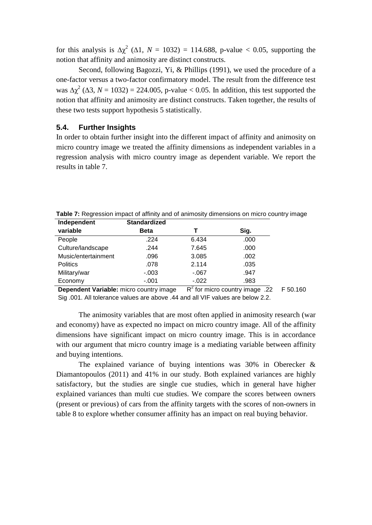for this analysis is  $\Delta \chi^2$  ( $\Delta 1$ ,  $N = 1032$ ) = 114.688, p-value < 0.05, supporting the notion that affinity and animosity are distinct constructs.

Second, following Bagozzi, Yi, & Phillips (1991), we used the procedure of a one-factor versus a two-factor confirmatory model. The result from the difference test was  $\Delta \chi^2$  ( $\Delta$ 3, *N* = 1032) = 224.005, p-value < 0.05. In addition, this test supported the notion that affinity and animosity are distinct constructs. Taken together, the results of these two tests support hypothesis 5 statistically.

#### **5.4. Further Insights**

In order to obtain further insight into the different impact of affinity and animosity on micro country image we treated the affinity dimensions as independent variables in a regression analysis with micro country image as dependent variable. We report the results in table 7.

| Table 7: Regression impact of affinity and of animosity dimensions on micro country image |                     |        |      |  |  |  |  |  |  |
|-------------------------------------------------------------------------------------------|---------------------|--------|------|--|--|--|--|--|--|
| Independent                                                                               | <b>Standardized</b> |        |      |  |  |  |  |  |  |
| variable                                                                                  | <b>Beta</b>         |        | Sig. |  |  |  |  |  |  |
| People                                                                                    | .224                | 6.434  | .000 |  |  |  |  |  |  |
| Culture/landscape                                                                         | .244                | 7.645  | .000 |  |  |  |  |  |  |
| Music/entertainment                                                                       | .096                | 3.085  | .002 |  |  |  |  |  |  |
| <b>Politics</b>                                                                           | .078                | 2.114  | .035 |  |  |  |  |  |  |
| Military/war                                                                              | $-.003$             | $-067$ | .947 |  |  |  |  |  |  |
| Economy                                                                                   | $-.001$             | $-022$ | .983 |  |  |  |  |  |  |
|                                                                                           |                     |        |      |  |  |  |  |  |  |

**Dependent Variable:** micro country image R<sup>2</sup> for micro country image .22 F 50.160 Sig .001. All tolerance values are above .44 and all VIF values are below 2.2.

The animosity variables that are most often applied in animosity research (war and economy) have as expected no impact on micro country image. All of the affinity dimensions have significant impact on micro country image. This is in accordance with our argument that micro country image is a mediating variable between affinity and buying intentions.

The explained variance of buying intentions was 30% in Oberecker & Diamantopoulos (2011) and 41% in our study. Both explained variances are highly satisfactory, but the studies are single cue studies, which in general have higher explained variances than multi cue studies. We compare the scores between owners (present or previous) of cars from the affinity targets with the scores of non-owners in table 8 to explore whether consumer affinity has an impact on real buying behavior.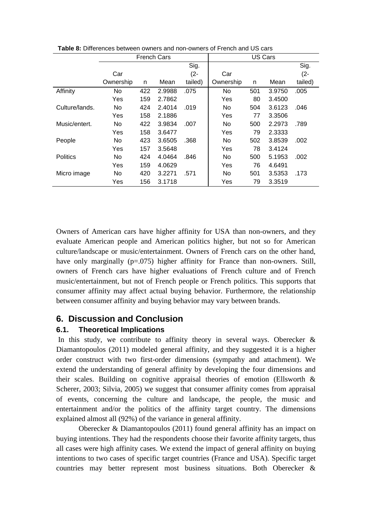|                 |           | <b>French Cars</b> |        | <b>US Cars</b> |           |      |        |         |
|-----------------|-----------|--------------------|--------|----------------|-----------|------|--------|---------|
|                 | Sig.      |                    |        |                |           | Sig. |        |         |
|                 | Car       |                    |        | $(2 -$         | Car       |      |        | (2-     |
|                 | Ownership | n                  | Mean   | tailed)        | Ownership | n    | Mean   | tailed) |
| Affinity        | No        | 422                | 2.9988 | .075           | No        | 501  | 3.9750 | .005    |
|                 | Yes       | 159                | 2.7862 |                | Yes       | 80   | 3.4500 |         |
| Culture/lands.  | No.       | 424                | 2.4014 | .019           | No        | 504  | 3.6123 | .046    |
|                 | Yes       | 158                | 2.1886 |                | Yes       | 77   | 3.3506 |         |
| Music/entert.   | No.       | 422                | 3.9834 | .007           | No.       | 500  | 2.2973 | .789    |
|                 | Yes       | 158                | 3.6477 |                | Yes       | 79   | 2.3333 |         |
| People          | No.       | 423                | 3.6505 | .368           | No.       | 502  | 3.8539 | .002    |
|                 | Yes       | 157                | 3.5648 |                | Yes       | 78   | 3.4124 |         |
| <b>Politics</b> | No.       | 424                | 4.0464 | .846           | No.       | 500  | 5.1953 | .002    |
|                 | Yes       | 159                | 4.0629 |                | Yes       | 76   | 4.6491 |         |
| Micro image     | No.       | 420                | 3.2271 | .571           | No        | 501  | 3.5353 | .173    |
|                 | Yes       | 156                | 3.1718 |                | Yes       | 79   | 3.3519 |         |

**Table 8:** Differences between owners and non-owners of French and US cars

Owners of American cars have higher affinity for USA than non-owners, and they evaluate American people and American politics higher, but not so for American culture/landscape or music/entertainment. Owners of French cars on the other hand, have only marginally (p=.075) higher affinity for France than non-owners. Still, owners of French cars have higher evaluations of French culture and of French music/entertainment, but not of French people or French politics. This supports that consumer affinity may affect actual buying behavior. Furthermore, the relationship between consumer affinity and buying behavior may vary between brands.

#### **6. Discussion and Conclusion**

#### **6.1. Theoretical Implications**

In this study, we contribute to affinity theory in several ways. Oberecker  $\&$ Diamantopoulos (2011) modeled general affinity, and they suggested it is a higher order construct with two first-order dimensions (sympathy and attachment). We extend the understanding of general affinity by developing the four dimensions and their scales. Building on cognitive appraisal theories of emotion (Ellsworth & Scherer, 2003; Silvia, 2005) we suggest that consumer affinity comes from appraisal of events, concerning the culture and landscape, the people, the music and entertainment and/or the politics of the affinity target country. The dimensions explained almost all (92%) of the variance in general affinity.

Oberecker & Diamantopoulos (2011) found general affinity has an impact on buying intentions. They had the respondents choose their favorite affinity targets, thus all cases were high affinity cases. We extend the impact of general affinity on buying intentions to two cases of specific target countries (France and USA). Specific target countries may better represent most business situations. Both Oberecker &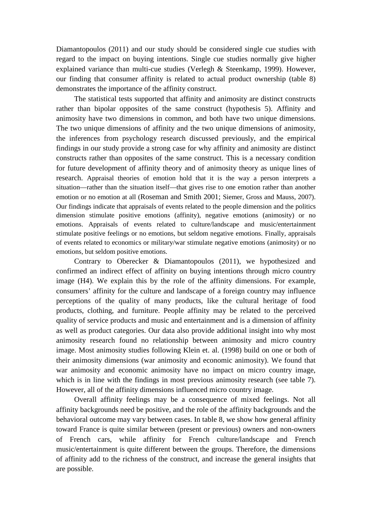Diamantopoulos (2011) and our study should be considered single cue studies with regard to the impact on buying intentions. Single cue studies normally give higher explained variance than multi-cue studies (Verlegh & Steenkamp, 1999). However, our finding that consumer affinity is related to actual product ownership (table 8) demonstrates the importance of the affinity construct.

The statistical tests supported that affinity and animosity are distinct constructs rather than bipolar opposites of the same construct (hypothesis 5). Affinity and animosity have two dimensions in common, and both have two unique dimensions. The two unique dimensions of affinity and the two unique dimensions of animosity, the inferences from psychology research discussed previously, and the empirical findings in our study provide a strong case for why affinity and animosity are distinct constructs rather than opposites of the same construct. This is a necessary condition for future development of affinity theory and of animosity theory as unique lines of research. Appraisal theories of emotion hold that it is the way a person interprets a situation—rather than the situation itself—that gives rise to one emotion rather than another emotion or no emotion at all (Roseman and Smith 2001; Siemer, Gross and Mauss, 2007). Our findings indicate that appraisals of events related to the people dimension and the politics dimension stimulate positive emotions (affinity), negative emotions (animosity) or no emotions. Appraisals of events related to culture/landscape and music/entertainment stimulate positive feelings or no emotions, but seldom negative emotions. Finally, appraisals of events related to economics or military/war stimulate negative emotions (animosity) or no emotions, but seldom positive emotions.

Contrary to Oberecker & Diamantopoulos (2011), we hypothesized and confirmed an indirect effect of affinity on buying intentions through micro country image (H4). We explain this by the role of the affinity dimensions. For example, consumers' affinity for the culture and landscape of a foreign country may influence perceptions of the quality of many products, like the cultural heritage of food products, clothing, and furniture. People affinity may be related to the perceived quality of service products and music and entertainment and is a dimension of affinity as well as product categories. Our data also provide additional insight into why most animosity research found no relationship between animosity and micro country image. Most animosity studies following Klein et. al. (1998) build on one or both of their animosity dimensions (war animosity and economic animosity). We found that war animosity and economic animosity have no impact on micro country image, which is in line with the findings in most previous animosity research (see table 7). However, all of the affinity dimensions influenced micro country image.

Overall affinity feelings may be a consequence of mixed feelings. Not all affinity backgrounds need be positive, and the role of the affinity backgrounds and the behavioral outcome may vary between cases. In table 8, we show how general affinity toward France is quite similar between (present or previous) owners and non-owners of French cars, while affinity for French culture/landscape and French music/entertainment is quite different between the groups. Therefore, the dimensions of affinity add to the richness of the construct, and increase the general insights that are possible.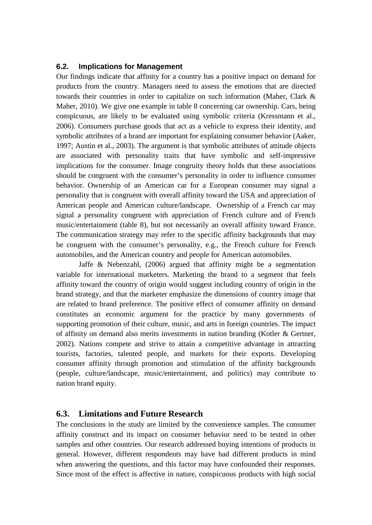#### **6.2. Implications for Management**

Our findings indicate that affinity for a country has a positive impact on demand for products from the country. Managers need to assess the emotions that are directed towards their countries in order to capitalize on such information (Maher, Clark & Maher, 2010). We give one example in table 8 concerning car ownership. Cars, being conspicuous, are likely to be evaluated using symbolic criteria (Kressmann et al., 2006). Consumers purchase goods that act as a vehicle to express their identity, and symbolic attributes of a brand are important for explaining consumer behavior (Aaker, 1997; Austin et al., 2003). The argument is that symbolic attributes of attitude objects are associated with personality traits that have symbolic and self-impressive implications for the consumer. Image congruity theory holds that these associations should be congruent with the consumer's personality in order to influence consumer behavior. Ownership of an American car for a European consumer may signal a personality that is congruent with overall affinity toward the USA and appreciation of American people and American culture/landscape. Ownership of a French car may signal a personality congruent with appreciation of French culture and of French music/entertainment (table 8), but not necessarily an overall affinity toward France. The communication strategy may refer to the specific affinity backgrounds that may be congruent with the consumer's personality, e.g., the French culture for French automobiles, and the American country and people for American automobiles.

Jaffe & Nebenzahl, (2006) argued that affinity might be a segmentation variable for international marketers. Marketing the brand to a segment that feels affinity toward the country of origin would suggest including country of origin in the brand strategy, and that the marketer emphasize the dimensions of country image that are related to brand preference. The positive effect of consumer affinity on demand constitutes an economic argument for the practice by many governments of supporting promotion of their culture, music, and arts in foreign countries. The impact of affinity on demand also merits investments in nation branding (Kotler & Gertner, 2002). Nations compete and strive to attain a competitive advantage in attracting tourists, factories, talented people, and markets for their exports. Developing consumer affinity through promotion and stimulation of the affinity backgrounds (people, culture/landscape, music/entertainment, and politics) may contribute to nation brand equity.

#### **6.3. Limitations and Future Research**

The conclusions in the study are limited by the convenience samples. The consumer affinity construct and its impact on consumer behavior need to be tested in other samples and other countries. Our research addressed buying intentions of products in general. However, different respondents may have had different products in mind when answering the questions, and this factor may have confounded their responses. Since most of the effect is affective in nature, conspicuous products with high social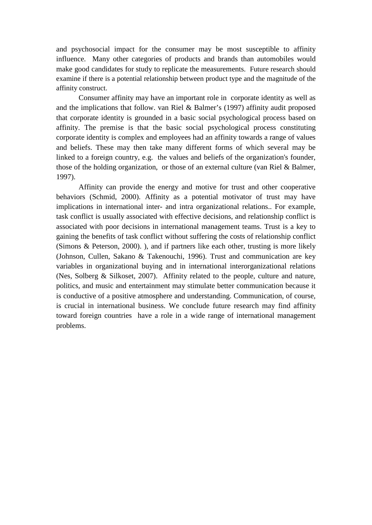and psychosocial impact for the consumer may be most susceptible to affinity influence. Many other categories of products and brands than automobiles would make good candidates for study to replicate the measurements. Future research should examine if there is a potential relationship between product type and the magnitude of the affinity construct.

Consumer affinity may have an important role in corporate identity as well as and the implications that follow. van Riel & Balmer's (1997) affinity audit proposed that corporate identity is grounded in a basic social psychological process based on affinity. The premise is that the basic social psychological process constituting corporate identity is complex and employees had an affinity towards a range of values and beliefs. These may then take many different forms of which several may be linked to a foreign country, e.g. the values and beliefs of the organization's founder, those of the holding organization, or those of an external culture (van Riel & Balmer, 1997).

Affinity can provide the energy and motive for trust and other cooperative behaviors (Schmid, 2000). Affinity as a potential motivator of trust may have implications in international inter- and intra organizational relations.. For example, task conflict is usually associated with effective decisions, and relationship conflict is associated with poor decisions in international management teams. Trust is a key to gaining the benefits of task conflict without suffering the costs of relationship conflict (Simons & Peterson, 2000). ), and if partners like each other, trusting is more likely (Johnson, Cullen, Sakano & Takenouchi, 1996). Trust and communication are key variables in organizational buying and in international interorganizational relations (Nes, Solberg & Silkoset, 2007). Affinity related to the people, culture and nature, politics, and music and entertainment may stimulate better communication because it is conductive of a positive atmosphere and understanding. Communication, of course, is crucial in international business. We conclude future research may find affinity toward foreign countries have a role in a wide range of international management problems.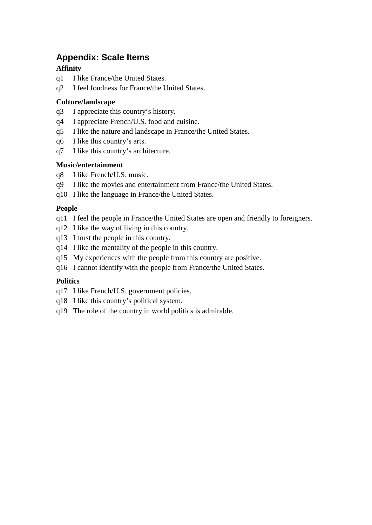# **Appendix: Scale Items**

# **Affinity**

- q1 I like France/the United States.
- q2 I feel fondness for France/the United States.

## **Culture/landscape**

- q3 I appreciate this country's history.
- q4 I appreciate French/U.S. food and cuisine.
- q5 I like the nature and landscape in France/the United States.
- q6 I like this country's arts.
- q7 I like this country's architecture.

### **Music/entertainment**

- q8 I like French/U.S. music.
- q9 I like the movies and entertainment from France/the United States.
- q10 I like the language in France/the United States.

## **People**

- q11 I feel the people in France/the United States are open and friendly to foreigners.
- q12 I like the way of living in this country.
- q13 I trust the people in this country.
- q14 I like the mentality of the people in this country.
- q15 My experiences with the people from this country are positive.
- q16 I cannot identify with the people from France/the United States.

## **Politics**

- q17 I like French/U.S. government policies.
- q18 I like this country's political system.
- q19 The role of the country in world politics is admirable.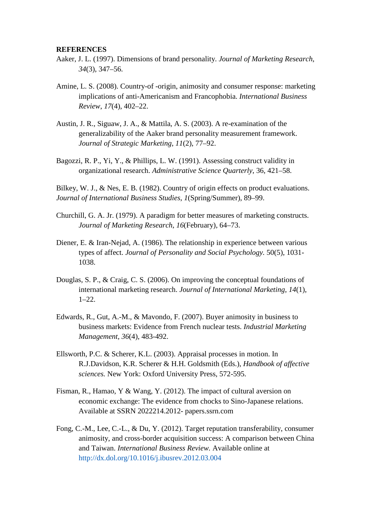#### **REFERENCES**

- Aaker, J. L. (1997). Dimensions of brand personality. *Journal of Marketing Research*, *34*(3), 347–56.
- Amine, L. S. (2008). Country-of -origin, animosity and consumer response: marketing implications of anti-Americanism and Francophobia. *International Business Review*, *17*(4), 402–22.
- Austin, J. R., Siguaw, J. A., & Mattila, A. S. (2003). A re-examination of the generalizability of the Aaker brand personality measurement framework. *Journal of Strategic Marketing*, *11*(2), 77–92.
- Bagozzi, R. P., Yi, Y., & Phillips, L. W. (1991). Assessing construct validity in organizational research. *Administrative Science Quarterly*, 36, 421–58.

Bilkey, W. J., & Nes, E. B. (1982). Country of origin effects on product evaluations. *Journal of International Business Studies*, *1*(Spring/Summer), 89–99.

- Churchill, G. A. Jr. (1979). A paradigm for better measures of marketing constructs. *Journal of Marketing Research*, *16*(February), 64–73.
- Diener, E. & Iran-Nejad, A. (1986). The relationship in experience between various types of affect. *Journal of Personality and Social Psychology.* 50(5), 1031- 1038.
- Douglas, S. P., & Craig, C. S. (2006). On improving the conceptual foundations of international marketing research. *Journal of International Marketing*, *14*(1),  $1-22$ .
- Edwards, R., Gut, A.-M., & Mavondo, F. (2007). Buyer animosity in business to business markets: Evidence from French nuclear tests. *Industrial Marketing Management, 36*(4), 483-492.
- Ellsworth, P.C. & Scherer, K.L. (2003). Appraisal processes in motion. In R.J.Davidson, K.R. Scherer & H.H. Goldsmith (Eds.), *Handbook of affective sciences.* New York: Oxford University Press, 572-595.
- Fisman, R., Hamao, Y & Wang, Y. (2012). The impact of cultural aversion on economic exchange: The evidence from chocks to Sino-Japanese relations. Available at SSRN 2022214.2012- papers.ssrn.com
- Fong, C.-M., Lee, C.-L., & Du, Y. (2012). Target reputation transferability, consumer animosity, and cross-border acquisition success: A comparison between China and Taiwan. *International Business Review.* Available online at <http://dx.dol.org/10.1016/j.ibusrev.2012.03.004>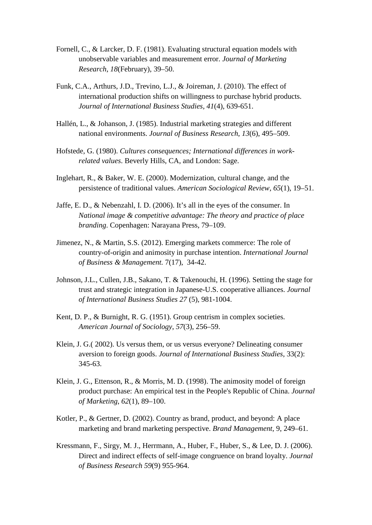- Fornell, C., & Larcker, D. F. (1981). Evaluating structural equation models with unobservable variables and measurement error. *Journal of Marketing Research*, *18*(February), 39–50.
- Funk, C.A., Arthurs, J.D., Trevino, L.J., & Joireman, J. (2010). The effect of international production shifts on willingness to purchase hybrid products. *Journal of International Business Studies, 41*(4), 639-651.
- Hallén, L., & Johanson, J. (1985). Industrial marketing strategies and different national environments. *Journal of Business Research*, *13*(6), 495–509.
- Hofstede, G. (1980). *Cultures consequences; International differences in workrelated values*. Beverly Hills, CA, and London: Sage.
- Inglehart, R., & Baker, W. E. (2000). Modernization, cultural change, and the persistence of traditional values. *American Sociological Review*, *65*(1), 19–51.
- Jaffe, E. D., & Nebenzahl, I. D. (2006). It's all in the eyes of the consumer. In *National image & competitive advantage: The theory and practice of place branding*. Copenhagen: Narayana Press, 79–109.
- Jimenez, N., & Martin, S.S. (2012). Emerging markets commerce: The role of country-of-origin and animosity in purchase intention. *International Journal of Business & Management.* 7(17), 34-42.
- Johnson, J.L., Cullen, J.B., Sakano, T. & Takenouchi, H. (1996). Setting the stage for trust and strategic integration in Japanese-U.S. cooperative alliances. *Journal of International Business Studies 27* (5), 981-1004.
- Kent, D. P., & Burnight, R. G. (1951). Group centrism in complex societies. *American Journal of Sociology*, *57*(3), 256–59.
- Klein, J. G.( 2002). Us versus them, or us versus everyone? Delineating consumer aversion to foreign goods. *Journal of International Business Studies*, 33(2): 345-63.
- Klein, J. G., Ettenson, R., & Morris, M. D. (1998). The animosity model of foreign product purchase: An empirical test in the People's Republic of China. *Journal of Marketing*, *62*(1), 89–100.
- Kotler, P., & Gertner, D. (2002). Country as brand, product, and beyond: A place marketing and brand marketing perspective. *Brand Management*, 9, 249–61.
- Kressmann, F., Sirgy, M. J., Herrmann, A., Huber, F., Huber, S., & Lee, D. J. (2006). Direct and indirect effects of self-image congruence on brand loyalty. *Journal of Business Research 59*(9) 955-964.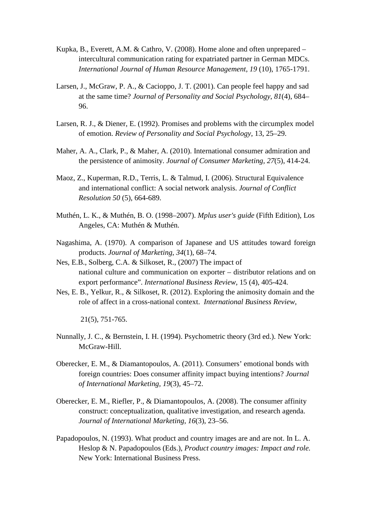- Kupka, B., Everett, A.M. & Cathro, V. (2008). Home alone and often unprepared intercultural communication rating for expatriated partner in German MDCs. *International Journal of Human Resource Management, 19* (10), 1765-1791.
- Larsen, J., McGraw, P. A., & Cacioppo, J. T. (2001). Can people feel happy and sad at the same time? *Journal of Personality and Social Psychology*, *81*(4), 684– 96.
- Larsen, R. J., & Diener, E. (1992). Promises and problems with the circumplex model of emotion. *Review of Personality and Social Psychology*, 13, 25–29.
- Maher, A. A., Clark, P., & Maher, A. (2010). International consumer admiration and the persistence of animosity. *Journal of Consumer Marketing, 27*(5), 414-24.
- Maoz, Z., Kuperman, R.D., Terris, L. & Talmud, I. (2006). Structural Equivalence and international conflict: A social network analysis. *Journal of Conflict Resolution 50* (5), 664-689.
- Muthén, L. K., & Muthén, B. O. (1998–2007). *Mplus user's guide* (Fifth Edition), Los Angeles, CA: Muthén & Muthén.
- Nagashima, A. (1970). A comparison of Japanese and US attitudes toward foreign products. *Journal of Marketing*, *34*(1), 68–74.
- Nes, E.B., Solberg, C.A. & Silkoset, R., (2007) The impact of national culture and communication on exporter – distributor relations and on export performance". *International Business Review,* 15 (4), 405-424.
- Nes, E. B., Yelkur, R., & Silkoset, R. (2012). Exploring the animosity domain and the role of affect in a cross-national context. *International Business Review,*

21(5), 751-765.

- Nunnally, J. C., & Bernstein, I. H. (1994). Psychometric theory (3rd ed.). New York: McGraw-Hill.
- Oberecker, E. M., & Diamantopoulos, A. (2011). Consumers' emotional bonds with foreign countries: Does consumer affinity impact buying intentions? *Journal of International Marketing, 19*(3), 45–72.
- Oberecker, E. M., Riefler, P., & Diamantopoulos, A. (2008). The consumer affinity construct: conceptualization, qualitative investigation, and research agenda. *Journal of International Marketing*, *16*(3), 23–56.
- Papadopoulos, N. (1993). What product and country images are and are not. In L. A. Heslop & N. Papadopoulos (Eds.), *Product country images: Impact and role.* New York: International Business Press.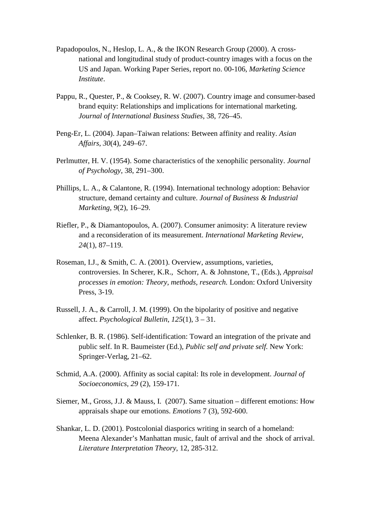- Papadopoulos, N., Heslop, L. A., & the IKON Research Group (2000). A crossnational and longitudinal study of product-country images with a focus on the US and Japan. Working Paper Series, report no. 00-106, *Marketing Science Institute*.
- Pappu, R., Quester, P., & Cooksey, R. W. (2007). Country image and consumer-based brand equity: Relationships and implications for international marketing. *Journal of International Business Studies*, 38, 726–45.
- Peng-Er, L. (2004). Japan–Taiwan relations: Between affinity and reality. *Asian Affairs*, *30*(4), 249–67.
- Perlmutter, H. V. (1954). Some characteristics of the xenophilic personality. *Journal of Psychology*, 38, 291–300.
- Phillips, L. A., & Calantone, R. (1994). International technology adoption: Behavior structure, demand certainty and culture. *Journal of Business & Industrial Marketing*, *9*(2), 16–29.
- Riefler, P., & Diamantopoulos, A. (2007). Consumer animosity: A literature review and a reconsideration of its measurement. *International Marketing Review*, *24*(1), 87–119.
- Roseman, I.J., & Smith, C. A. (2001). Overview, assumptions, varieties, controversies. In Scherer, K.R., Schorr, A. & Johnstone, T., (Eds.), *Appraisal processes in emotion: Theory, methods, research.* London: Oxford University Press, 3-19.
- Russell, J. A., & Carroll, J. M. (1999). On the bipolarity of positive and negative affect. *Psychological Bulletin*, *125*(1), 3 – 31.
- Schlenker, B. R. (1986). Self-identification: Toward an integration of the private and public self. In R. Baumeister (Ed.), *Public self and private self.* New York: Springer-Verlag, 21–62.
- Schmid, A.A. (2000). Affinity as social capital: Its role in development. *Journal of Socioeconomics, 29* (2), 159-171.
- Siemer, M., Gross, J.J. & Mauss, I. (2007). Same situation different emotions: How appraisals shape our emotions. *Emotions* 7 (3), 592-600.
- Shankar, L. D. (2001). Postcolonial diasporics writing in search of a homeland: Meena Alexander's Manhattan music, fault of arrival and the shock of arrival. *Literature Interpretation Theory*, 12, 285-312.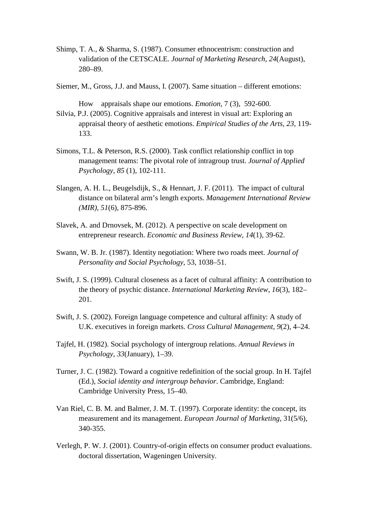- Shimp, T. A., & Sharma, S. (1987). Consumer ethnocentrism: construction and validation of the CETSCALE. *Journal of Marketing Research*, *24*(August), 280–89.
- Siemer, M., Gross, J.J. and Mauss, I. (2007). Same situation different emotions:

How appraisals shape our emotions. *Emotion,* 7 (3), 592-600.

- Silvia, P.J. (2005). Cognitive appraisals and interest in visual art: Exploring an appraisal theory of aesthetic emotions. *Empirical Studies of the Arts, 23,* 119- 133.
- Simons, T.L. & Peterson, R.S. (2000). Task conflict relationship conflict in top management teams: The pivotal role of intragroup trust. *Journal of Applied Psychology, 85* (1), 102-111.
- Slangen, A. H. L., Beugelsdijk, S., & Hennart, J. F. (2011). The impact of cultural distance on bilateral arm's length exports. *Management International Review (MIR), 51*(6), 875-896.
- Slavek, A. and Drnovsek, M. (2012). A perspective on scale development on entrepreneur research. *Economic and Business Review*, *14*(1), 39-62.
- Swann, W. B. Jr. (1987). Identity negotiation: Where two roads meet. *Journal of Personality and Social Psychology*, 53, 1038–51.
- Swift, J. S. (1999). Cultural closeness as a facet of cultural affinity: A contribution to the theory of psychic distance. *International Marketing Review*, *16*(3), 182– 201.
- Swift, J. S. (2002). Foreign language competence and cultural affinity: A study of U.K. executives in foreign markets. *Cross Cultural Management*, *9*(2), 4–24.
- Tajfel, H. (1982). Social psychology of intergroup relations. *Annual Reviews in Psychology*, *33*(January), 1–39.
- Turner, J. C. (1982). Toward a cognitive redefinition of the social group. In H. Tajfel (Ed.), *Social identity and intergroup behavior.* Cambridge, England: Cambridge University Press, 15–40.
- Van Riel, C. B. M. and Balmer, J. M. T. (1997). Corporate identity: the concept, its measurement and its management. *European Journal of Marketing*, 31(5/6), 340-355.
- Verlegh, P. W. J. (2001). Country-of-origin effects on consumer product evaluations. doctoral dissertation, Wageningen University.